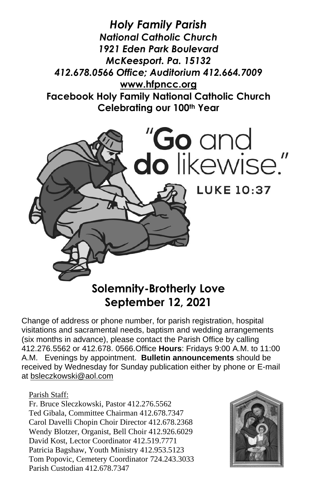*Holy Family Parish National Catholic Church 1921 Eden Park Boulevard McKeesport. Pa. 15132 412.678.0566 Office; Auditorium 412.664.7009* **[www.hfpncc.org](http://www.hfpncc.org/) Facebook Holy Family National Catholic Church Celebrating our 100th Year**



# **September 12, 2021**

Change of address or phone number, for parish registration, hospital visitations and sacramental needs, baptism and wedding arrangements (six months in advance), please contact the Parish Office by calling 412.276.5562 or 412.678. 0566.Office **Hours**: Fridays 9:00 A.M. to 11:00 A.M. Evenings by appointment. **Bulletin announcements** should be received by Wednesday for Sunday publication either by phone or E-mail at [bsleczkowski@aol.com](mailto:bsleczkowski@aol.com)

Parish Staff:

Fr. Bruce Sleczkowski, Pastor 412.276.5562 Ted Gibala, Committee Chairman 412.678.7347 Carol Davelli Chopin Choir Director 412.678.2368 Wendy Blotzer, Organist, Bell Choir 412.926.6029 David Kost, Lector Coordinator 412.519.7771 Patricia Bagshaw, Youth Ministry 412.953.5123 Tom Popovic, Cemetery Coordinator 724.243.3033 Parish Custodian 412.678.7347

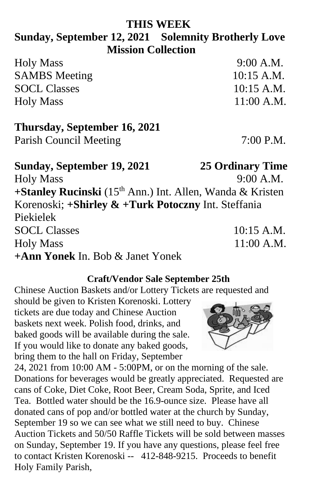#### **THIS WEEK**

## **Sunday, September 12, 2021 Solemnity Brotherly Love Mission Collection**

| <b>Holy Mass</b>     | $9:00$ A.M.  |
|----------------------|--------------|
| <b>SAMBS</b> Meeting | $10:15$ A.M. |
| <b>SOCL Classes</b>  | $10:15$ A.M. |
| <b>Holy Mass</b>     | $11:00$ A.M. |

### **Thursday, September 16, 2021**

Parish Council Meeting 7:00 P.M.

## **Sunday, September 19, 2021 25 Ordinary Time** Holy Mass 9:00 A.M. **+Stanley Rucinski** (15<sup>th</sup> Ann.) Int. Allen, Wanda & Kristen Korenoski; **+Shirley & +Turk Potoczny** Int. Steffania Piekielek SOCL Classes 10:15 A.M. Holy Mass 11:00 A.M. **+Ann Yonek** In. Bob & Janet Yonek

#### **Craft/Vendor Sale September 25th**

Chinese Auction Baskets and/or Lottery Tickets are requested and

should be given to Kristen Korenoski. Lottery tickets are due today and Chinese Auction baskets next week. Polish food, drinks, and baked goods will be available during the sale. If you would like to donate any baked goods, bring them to the hall on Friday, September

24, 2021 from 10:00 AM - 5:00PM, or on the morning of the sale. Donations for beverages would be greatly appreciated. Requested are cans of Coke, Diet Coke, Root Beer, Cream Soda, Sprite, and Iced Tea. Bottled water should be the 16.9-ounce size. Please have all donated cans of pop and/or bottled water at the church by Sunday, September 19 so we can see what we still need to buy. Chinese Auction Tickets and 50/50 Raffle Tickets will be sold between masses on Sunday, September 19. If you have any questions, please feel free to contact Kristen Korenoski -- 412-848-9215. Proceeds to benefit Holy Family Parish,

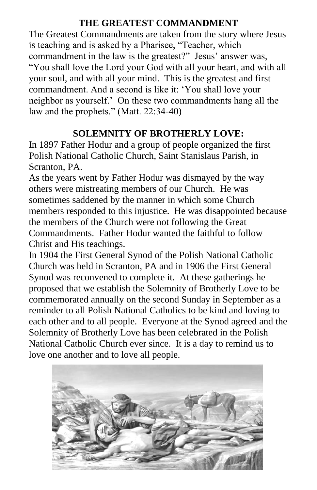#### **THE GREATEST COMMANDMENT**

The Greatest Commandments are taken from the story where Jesus is teaching and is asked by a Pharisee, "Teacher, which commandment in the law is the greatest?" Jesus' answer was, "You shall love the Lord your God with all your heart, and with all your soul, and with all your mind. This is the greatest and first commandment. And a second is like it: 'You shall love your neighbor as yourself.' On these two commandments hang all the law and the prophets." (Matt. 22:34-40)

#### **SOLEMNITY OF BROTHERLY LOVE:**

In 1897 Father Hodur and a group of people organized the first Polish National Catholic Church, Saint Stanislaus Parish, in Scranton, PA.

As the years went by Father Hodur was dismayed by the way others were mistreating members of our Church. He was sometimes saddened by the manner in which some Church members responded to this injustice. He was disappointed because the members of the Church were not following the Great Commandments. Father Hodur wanted the faithful to follow Christ and His teachings.

In 1904 the First General Synod of the Polish National Catholic Church was held in Scranton, PA and in 1906 the First General Synod was reconvened to complete it. At these gatherings he proposed that we establish the Solemnity of Brotherly Love to be commemorated annually on the second Sunday in September as a reminder to all Polish National Catholics to be kind and loving to each other and to all people. Everyone at the Synod agreed and the Solemnity of Brotherly Love has been celebrated in the Polish National Catholic Church ever since. It is a day to remind us to love one another and to love all people.